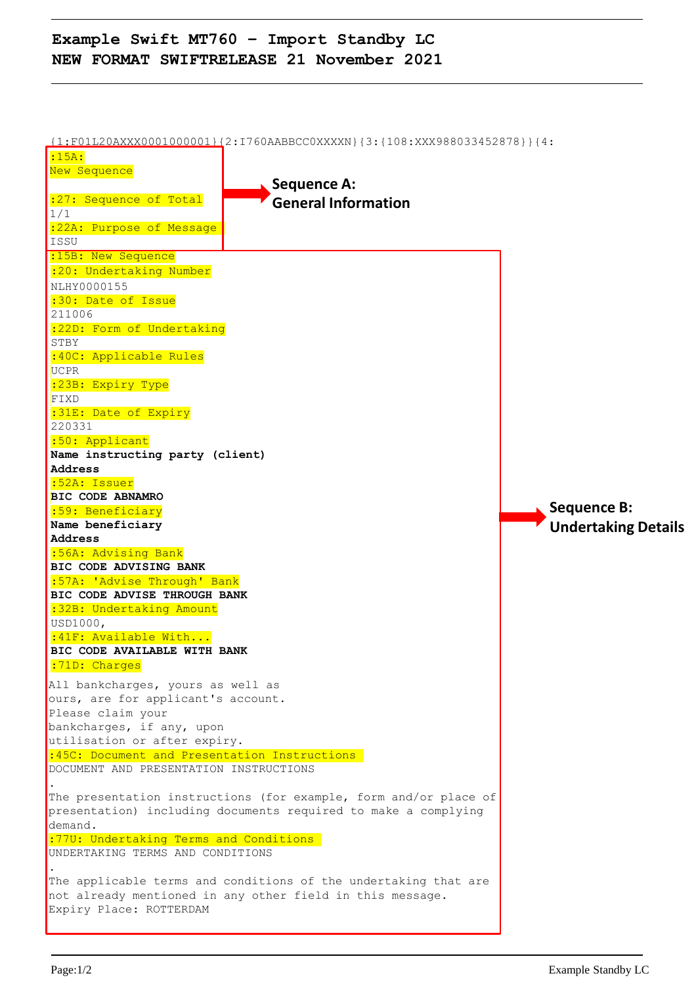